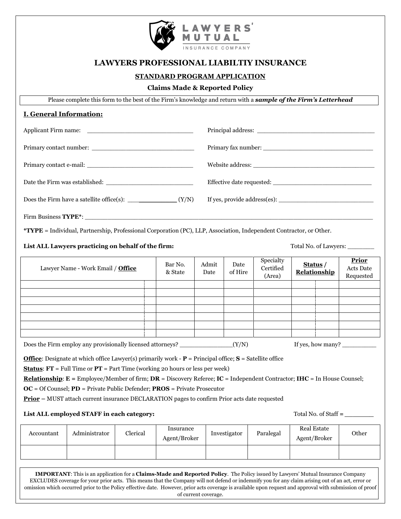

# **LAWYERS PROFESSIONAL LIABILTIY INSURANCE**

## **STANDARD PROGRAM APPLICATION**

#### **Claims Made & Reported Policy**

Please complete this form to the best of the Firm's knowledge and return with a *sample of the Firm's Letterhead*

### **I. General Information:**

|                                                                                                                                                                                                                                                                                                                                                                                                                                                                                                                                               | Does the Firm have a satellite office(s): $\frac{1}{\sqrt{N}}$ (Y/N)                                                |          |                           |               |                 |                                  |                                                                                                                                                 |                                               |
|-----------------------------------------------------------------------------------------------------------------------------------------------------------------------------------------------------------------------------------------------------------------------------------------------------------------------------------------------------------------------------------------------------------------------------------------------------------------------------------------------------------------------------------------------|---------------------------------------------------------------------------------------------------------------------|----------|---------------------------|---------------|-----------------|----------------------------------|-------------------------------------------------------------------------------------------------------------------------------------------------|-----------------------------------------------|
|                                                                                                                                                                                                                                                                                                                                                                                                                                                                                                                                               |                                                                                                                     |          |                           |               |                 |                                  |                                                                                                                                                 |                                               |
|                                                                                                                                                                                                                                                                                                                                                                                                                                                                                                                                               | *TYPE = Individual, Partnership, Professional Corporation (PC), LLP, Association, Independent Contractor, or Other. |          |                           |               |                 |                                  |                                                                                                                                                 |                                               |
| List ALL Lawyers practicing on behalf of the firm:<br>Total No. of Lawyers:                                                                                                                                                                                                                                                                                                                                                                                                                                                                   |                                                                                                                     |          |                           |               |                 |                                  |                                                                                                                                                 |                                               |
| Lawyer Name - Work Email / Office                                                                                                                                                                                                                                                                                                                                                                                                                                                                                                             |                                                                                                                     |          | Bar No.<br>& State        | Admit<br>Date | Date<br>of Hire | Specialty<br>Certified<br>(Area) | Status/<br>Relationship                                                                                                                         | <b>Prior</b><br><b>Acts Date</b><br>Requested |
|                                                                                                                                                                                                                                                                                                                                                                                                                                                                                                                                               |                                                                                                                     |          |                           |               |                 |                                  |                                                                                                                                                 |                                               |
|                                                                                                                                                                                                                                                                                                                                                                                                                                                                                                                                               |                                                                                                                     |          |                           |               |                 |                                  |                                                                                                                                                 |                                               |
|                                                                                                                                                                                                                                                                                                                                                                                                                                                                                                                                               |                                                                                                                     |          |                           |               |                 |                                  |                                                                                                                                                 |                                               |
|                                                                                                                                                                                                                                                                                                                                                                                                                                                                                                                                               |                                                                                                                     |          |                           |               |                 |                                  |                                                                                                                                                 |                                               |
| Does the Firm employ any provisionally licensed attorneys? _____________________(Y/N)<br>If yes, how many?                                                                                                                                                                                                                                                                                                                                                                                                                                    |                                                                                                                     |          |                           |               |                 |                                  |                                                                                                                                                 |                                               |
| <b>Office:</b> Designate at which office Lawyer(s) primarily work - $P =$ Principal office; $S =$ Satellite office<br><b>Status:</b> $FT = Full Time or PT = Part Time (working 20 hours or less per week)$<br><b>Relationship:</b> E = Employee/Member of firm; $DR =$ Discovery Referee; $IC =$ Independent Contractor; $IHC =$ In House Counsel;<br>$OC = Of \, (PDD = Private \, Public \, Defender; PROS = Private \, Prosecutor$<br><b>Prior</b> – MUST attach current insurance DECLARATION pages to confirm Prior acts date requested |                                                                                                                     |          |                           |               |                 |                                  |                                                                                                                                                 |                                               |
| List ALL employed STAFF in each category:<br>Total No. of Staff =                                                                                                                                                                                                                                                                                                                                                                                                                                                                             |                                                                                                                     |          |                           |               |                 |                                  |                                                                                                                                                 |                                               |
| Accountant                                                                                                                                                                                                                                                                                                                                                                                                                                                                                                                                    | Administrator                                                                                                       | Clerical | Insurance<br>Agent/Broker |               | Investigator    | Paralegal                        | <b>Real Estate</b><br>Agent/Broker                                                                                                              | Other                                         |
|                                                                                                                                                                                                                                                                                                                                                                                                                                                                                                                                               |                                                                                                                     |          |                           |               |                 |                                  |                                                                                                                                                 |                                               |
|                                                                                                                                                                                                                                                                                                                                                                                                                                                                                                                                               |                                                                                                                     |          |                           |               |                 |                                  | <b>IMPORTANT</b> : This is an application for a <b>Claims-Made and Reported Policy</b> . The Policy issued by Lawyers' Mutual Insurance Company |                                               |

EXCLUDES coverage for your prior acts. This means that the Company will not defend or indemnify you for any claim arising out of an act, error or omission which occurred prior to the Policy effective date. However, prior acts coverage is available upon request and approval with submission of proof of current coverage.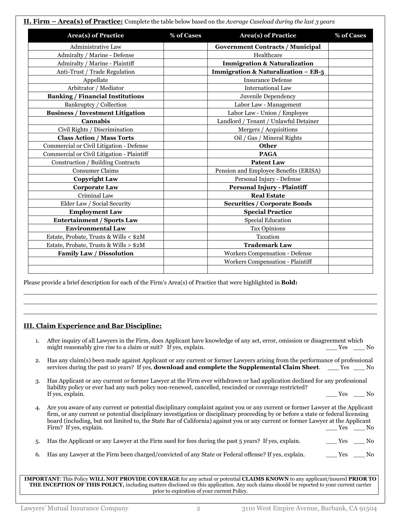**II. Firm – Area(s) of Practice:** Complete the table below based on the *Average Caseload during the last 3 years*

| <b>Area(s)</b> of Practice                 | % of Cases | <b>Area(s)</b> of Practice              | % of Cases |  |
|--------------------------------------------|------------|-----------------------------------------|------------|--|
| Administrative Law                         |            | <b>Government Contracts / Municipal</b> |            |  |
| Admiralty / Marine - Defense               |            | Healthcare                              |            |  |
| Admiralty / Marine - Plaintiff             |            | <b>Immigration &amp; Naturalization</b> |            |  |
| Anti-Trust / Trade Regulation              |            | Immigration & Naturalization $-$ EB-5   |            |  |
| Appellate                                  |            | <b>Insurance Defense</b>                |            |  |
| Arbitrator / Mediator                      |            | International Law                       |            |  |
| <b>Banking / Financial Institutions</b>    |            | Juvenile Dependency                     |            |  |
| Bankruptcy / Collection                    |            | Labor Law - Management                  |            |  |
| <b>Business / Investment Litigation</b>    |            | Labor Law - Union / Employee            |            |  |
| <b>Cannabis</b>                            |            | Landlord / Tenant / Unlawful Detainer   |            |  |
| Civil Rights / Discrimination              |            | Mergers / Acquisitions                  |            |  |
| <b>Class Action / Mass Torts</b>           |            | Oil / Gas / Mineral Rights              |            |  |
| Commercial or Civil Litigation - Defense   |            | <b>Other</b>                            |            |  |
| Commercial or Civil Litigation - Plaintiff |            | <b>PAGA</b>                             |            |  |
| Construction / Building Contracts          |            | <b>Patent Law</b>                       |            |  |
| Consumer Claims                            |            | Pension and Employee Benefits (ERISA)   |            |  |
| <b>Copyright Law</b>                       |            | Personal Injury - Defense               |            |  |
| <b>Corporate Law</b>                       |            | <b>Personal Injury - Plaintiff</b>      |            |  |
| Criminal Law                               |            | <b>Real Estate</b>                      |            |  |
| Elder Law / Social Security                |            | <b>Securities / Corporate Bonds</b>     |            |  |
| <b>Employment Law</b>                      |            | <b>Special Practice</b>                 |            |  |
| <b>Entertainment / Sports Law</b>          |            | <b>Special Education</b>                |            |  |
| <b>Environmental Law</b>                   |            | <b>Tax Opinions</b>                     |            |  |
| Estate, Probate, Trusts & Wills < \$2M     |            | Taxation                                |            |  |
| Estate, Probate, Trusts & Wills > \$2M     |            | <b>Trademark Law</b>                    |            |  |
| <b>Family Law / Dissolution</b>            |            | <b>Workers Compensation - Defense</b>   |            |  |
|                                            |            | <b>Workers Compensation - Plaintiff</b> |            |  |

Please provide a brief description for each of the Firm's Area(s) of Practice that were highlighted in **Bold:**

## **III. Claim Experience and Bar Discipline:**

- 1. After inquiry of all Lawyers in the Firm, does Applicant have knowledge of any act, error, omission or disagreement which might reasonably give rise to a claim or suit? If yes, explain. The same of the same of the same of the same of the same of the same of the same of the same of the same of the same of the same of the same of the same of th
- 2. Has any claim(s) been made against Applicant or any current or former Lawyers arising from the performance of professional services during the past 10 years? If yes, **download and complete the Supplemental Claim Sheet**. \_\_\_ Yes \_\_\_ No
- 3. Has Applicant or any current or former Lawyer at the Firm ever withdrawn or had application declined for any professional liability policy or ever had any such policy non-renewed, cancelled, rescinded or coverage restricted? If yes, explain. The vertex of the set of the set of the set of the set of the set of the set of the set of the set of the set of the set of the set of the set of the set of the set of the set of the set of the set of the
- 4. Are you aware of any current or potential disciplinary complaint against you or any current or former Lawyer at the Applicant firm, or any current or potential disciplinary investigation or disciplinary proceeding by or before a state or federal licensing board (including, but not limited to, the State Bar of California) against you or any current or former Lawyer at the Applicant Firm? If yes, explain.  $\Box$  Yes  $\Box$  No
- 5. Has the Applicant or any Lawyer at the Firm sued for fees during the past 5 years? If yes, explain. Yes \_\_\_ No
- 6. Has any Lawyer at the Firm been charged/convicted of any State or Federal offense? If yes, explain. \_\_\_\_\_ Yes \_\_\_\_ No

**IMPORTANT**: This Policy **WILL NOT PROVIDE COVERAGE** for any actual or potential **CLAIMS KNOWN** to any applicant/insured **PRIOR TO THE INCEPTION OF THIS POLICY,** including matters disclosed on this application. Any such claims should be reported to your current carrier prior to expiration of your current Policy.

 $\overline{a}$  $\overline{a}$  $\overline{a}$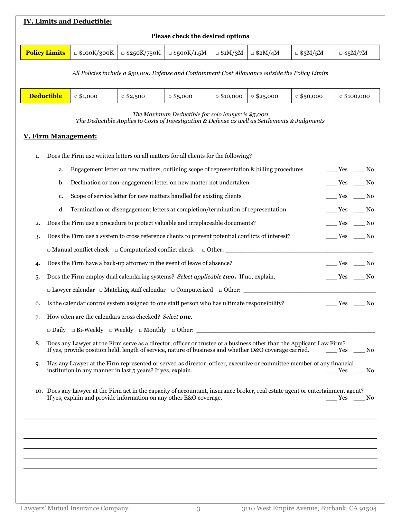| <b>IV. Limits and Deductible:</b>                                                                                                                                                                                                          |                                                                                                                                                                                                                                          |                                                                                                                                                               |                    |                                  |                      |                  |                  |                                                                                                                         |               |
|--------------------------------------------------------------------------------------------------------------------------------------------------------------------------------------------------------------------------------------------|------------------------------------------------------------------------------------------------------------------------------------------------------------------------------------------------------------------------------------------|---------------------------------------------------------------------------------------------------------------------------------------------------------------|--------------------|----------------------------------|----------------------|------------------|------------------|-------------------------------------------------------------------------------------------------------------------------|---------------|
|                                                                                                                                                                                                                                            |                                                                                                                                                                                                                                          |                                                                                                                                                               |                    | Please check the desired options |                      |                  |                  |                                                                                                                         |               |
|                                                                                                                                                                                                                                            | <b>Policy Limits</b>                                                                                                                                                                                                                     | $\Box$ \$100K/300K                                                                                                                                            | $\Box$ \$250K/750K | $\Box$ \$500K/1.5M               | $\Box$ \$1M/3M       | $\Box$ \$2M/4M   | $\Box$ \$3M/5M   | $\Box$ \$5M/7M                                                                                                          |               |
|                                                                                                                                                                                                                                            | All Policies include a \$50,000 Defense and Containment Cost Allowance outside the Policy Limits                                                                                                                                         |                                                                                                                                                               |                    |                                  |                      |                  |                  |                                                                                                                         |               |
|                                                                                                                                                                                                                                            | <b>Deductible</b>                                                                                                                                                                                                                        | $\circ$ \$1,000                                                                                                                                               | $0$ \$2,500        | $\circ$ \$5,000                  | $\circ$ \$10,000     | $\circ$ \$25,000 | $\circ$ \$50,000 | $\circ$ \$100,000                                                                                                       |               |
|                                                                                                                                                                                                                                            | The Maximum Deductible for solo lawyer is \$5,000<br>The Deductible Applies to Costs of Investigation & Defense as well as Settlements & Judgments<br><b>V. Firm Management:</b>                                                         |                                                                                                                                                               |                    |                                  |                      |                  |                  |                                                                                                                         |               |
|                                                                                                                                                                                                                                            |                                                                                                                                                                                                                                          |                                                                                                                                                               |                    |                                  |                      |                  |                  |                                                                                                                         |               |
| 1.                                                                                                                                                                                                                                         |                                                                                                                                                                                                                                          | Does the Firm use written letters on all matters for all clients for the following?                                                                           |                    |                                  |                      |                  |                  |                                                                                                                         |               |
|                                                                                                                                                                                                                                            | a.<br>b.                                                                                                                                                                                                                                 | Engagement letter on new matters, outlining scope of representation & billing procedures<br>Declination or non-engagement letter on new matter not undertaken |                    |                                  |                      |                  |                  | $\xrightarrow{\text{Yes}} \underline{\hspace{1cm}}$ No<br>$\frac{\text{Yes}}{\text{Yes}}$ $\frac{\text{No}}{\text{No}}$ |               |
|                                                                                                                                                                                                                                            | c.                                                                                                                                                                                                                                       | Scope of service letter for new matters handled for existing clients                                                                                          |                    |                                  |                      |                  |                  | $\_\_\_\$ Yes                                                                                                           | $\sqrt{a}$ No |
|                                                                                                                                                                                                                                            | d.                                                                                                                                                                                                                                       | Termination or disengagement letters at completion/termination of representation                                                                              |                    |                                  |                      |                  |                  | $\frac{\text{Yes}}{\text{Yes}}$ No                                                                                      |               |
| 2.                                                                                                                                                                                                                                         |                                                                                                                                                                                                                                          | Does the Firm use a procedure to protect valuable and irreplaceable documents?                                                                                |                    |                                  |                      |                  |                  | $\rule{1em}{0.15mm}$ Yes $\rule{1em}{0.15mm}$ No                                                                        |               |
| 3.                                                                                                                                                                                                                                         |                                                                                                                                                                                                                                          | Does the Firm use a system to cross reference clients to prevent potential conflicts of interest?                                                             |                    |                                  |                      |                  |                  | $\xrightarrow{\text{Yes}} \underline{\hspace{1cm}}$ No                                                                  |               |
|                                                                                                                                                                                                                                            |                                                                                                                                                                                                                                          | $\Box$ Manual conflict check $\Box$ Computerized conflict check                                                                                               |                    |                                  | $\Box$ Other: $\_\_$ |                  |                  |                                                                                                                         |               |
| 4.                                                                                                                                                                                                                                         |                                                                                                                                                                                                                                          | Does the Firm have a back-up attorney in the event of leave of absence?                                                                                       |                    |                                  |                      |                  |                  | $\frac{\text{Yes}}{\text{Yes}}$ No                                                                                      |               |
| 5.                                                                                                                                                                                                                                         | Does the Firm employ dual calendaring systems? Select applicable two. If no, explain.<br>$\rule{1em}{0.15mm}$ Yes $\rule{1em}{0.15mm}$ No                                                                                                |                                                                                                                                                               |                    |                                  |                      |                  |                  |                                                                                                                         |               |
|                                                                                                                                                                                                                                            |                                                                                                                                                                                                                                          | $\Box$ Lawyer calendar $\Box$ Matching staff calendar $\Box$ Computerized $\Box$ Other: $\Box$                                                                |                    |                                  |                      |                  |                  |                                                                                                                         |               |
| 6.                                                                                                                                                                                                                                         | Is the calendar control system assigned to one staff person who has ultimate responsibility?<br>$\_\_\$ Yes $\_\_\$ No                                                                                                                   |                                                                                                                                                               |                    |                                  |                      |                  |                  |                                                                                                                         |               |
| How often are the calendars cross checked? Select one.<br>7.                                                                                                                                                                               |                                                                                                                                                                                                                                          |                                                                                                                                                               |                    |                                  |                      |                  |                  |                                                                                                                         |               |
|                                                                                                                                                                                                                                            |                                                                                                                                                                                                                                          |                                                                                                                                                               |                    |                                  |                      |                  |                  |                                                                                                                         |               |
| 8.                                                                                                                                                                                                                                         | Does any Lawyer at the Firm serve as a director, officer or trustee of a business other than the Applicant Law Firm?<br>If yes, provide position held, length of service, nature of business and whether D&O coverage carried.<br>Yes No |                                                                                                                                                               |                    |                                  |                      |                  |                  |                                                                                                                         |               |
| Has any Lawyer at the Firm represented or served as director, officer, executive or committee member of any financial<br>9.<br>institution in any manner in last 5 years? If yes, explain.<br>$Yes$ Mo                                     |                                                                                                                                                                                                                                          |                                                                                                                                                               |                    |                                  |                      |                  |                  |                                                                                                                         |               |
| 10. Does any Lawyer at the Firm act in the capacity of accountant, insurance broker, real estate agent or entertainment agent?<br>If yes, explain and provide information on any other E&O coverage.<br>$\frac{\text{Yes}}{\text{Yes}}$ No |                                                                                                                                                                                                                                          |                                                                                                                                                               |                    |                                  |                      |                  |                  |                                                                                                                         |               |
|                                                                                                                                                                                                                                            |                                                                                                                                                                                                                                          |                                                                                                                                                               |                    |                                  |                      |                  |                  |                                                                                                                         |               |
|                                                                                                                                                                                                                                            |                                                                                                                                                                                                                                          |                                                                                                                                                               |                    |                                  |                      |                  |                  |                                                                                                                         |               |
|                                                                                                                                                                                                                                            |                                                                                                                                                                                                                                          |                                                                                                                                                               |                    |                                  |                      |                  |                  |                                                                                                                         |               |
|                                                                                                                                                                                                                                            |                                                                                                                                                                                                                                          |                                                                                                                                                               |                    |                                  |                      |                  |                  |                                                                                                                         |               |
|                                                                                                                                                                                                                                            |                                                                                                                                                                                                                                          |                                                                                                                                                               |                    |                                  |                      |                  |                  |                                                                                                                         |               |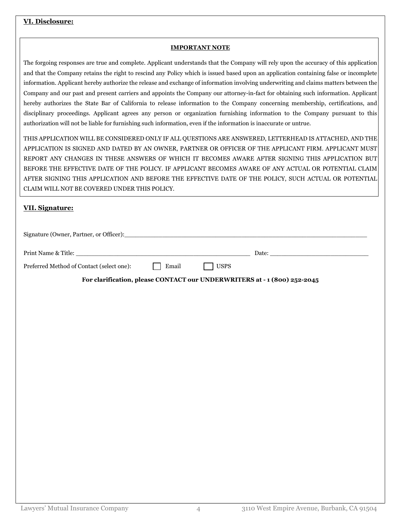# **VI. Disclosure:**

### **IMPORTANT NOTE**

The forgoing responses are true and complete. Applicant understands that the Company will rely upon the accuracy of this application and that the Company retains the right to rescind any Policy which is issued based upon an application containing false or incomplete information. Applicant hereby authorize the release and exchange of information involving underwriting and claims matters between the Company and our past and present carriers and appoints the Company our attorney-in-fact for obtaining such information. Applicant hereby authorizes the State Bar of California to release information to the Company concerning membership, certifications, and disciplinary proceedings. Applicant agrees any person or organization furnishing information to the Company pursuant to this authorization will not be liable for furnishing such information, even if the information is inaccurate or untrue.

THIS APPLICATION WILL BE CONSIDERED ONLY IF ALL QUESTIONS ARE ANSWERED, LETTERHEAD IS ATTACHED, AND THE APPLICATION IS SIGNED AND DATED BY AN OWNER, PARTNER OR OFFICER OF THE APPLICANT FIRM. APPLICANT MUST REPORT ANY CHANGES IN THESE ANSWERS OF WHICH IT BECOMES AWARE AFTER SIGNING THIS APPLICATION BUT BEFORE THE EFFECTIVE DATE OF THE POLICY. IF APPLICANT BECOMES AWARE OF ANY ACTUAL OR POTENTIAL CLAIM AFTER SIGNING THIS APPLICATION AND BEFORE THE EFFECTIVE DATE OF THE POLICY, SUCH ACTUAL OR POTENTIAL CLAIM WILL NOT BE COVERED UNDER THIS POLICY.

# **VII. Signature:**

| Signature (Owner, Partner, or Officer):   |       |             |                                                                          |  |
|-------------------------------------------|-------|-------------|--------------------------------------------------------------------------|--|
|                                           |       |             |                                                                          |  |
| Preferred Method of Contact (select one): | Email | <b>USPS</b> |                                                                          |  |
|                                           |       |             | For clarification, please CONTACT our UNDERWRITERS at - 1 (800) 252-2045 |  |
|                                           |       |             |                                                                          |  |
|                                           |       |             |                                                                          |  |
|                                           |       |             |                                                                          |  |
|                                           |       |             |                                                                          |  |
|                                           |       |             |                                                                          |  |